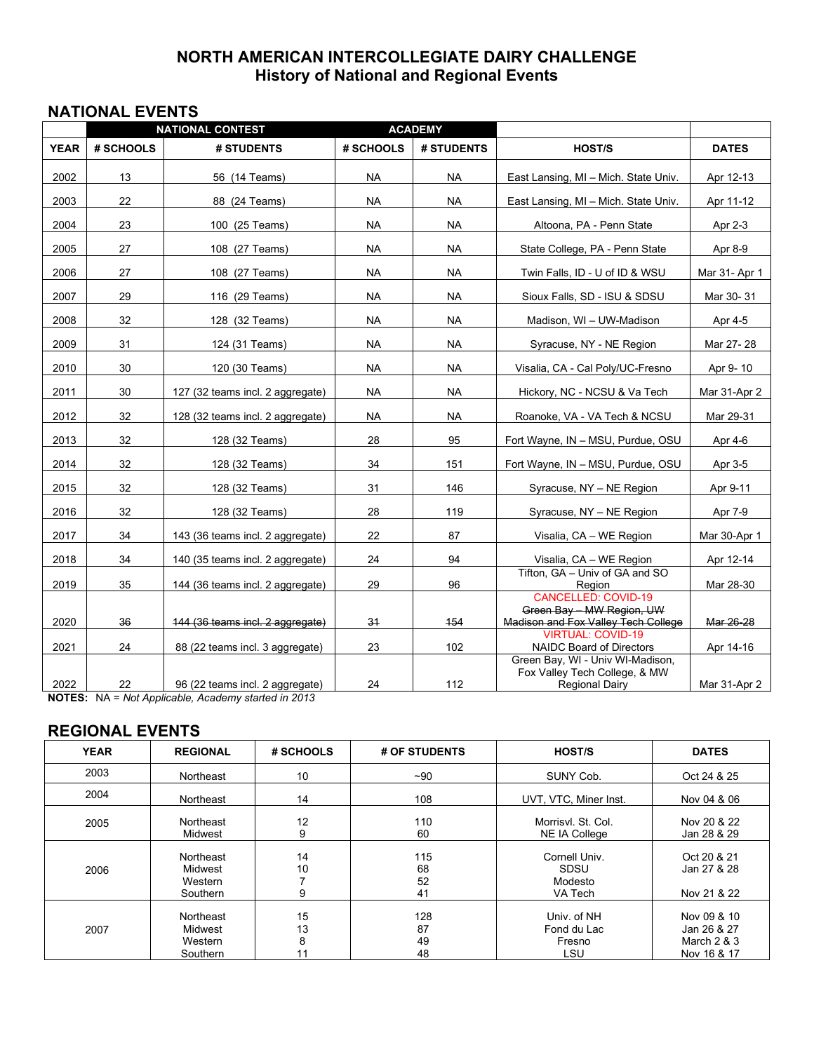## **NORTH AMERICAN INTERCOLLEGIATE DAIRY CHALLENGE History of National and Regional Events**

## **NATIONAL EVENTS**

|             | <b>ACADEMY</b><br><b>NATIONAL CONTEST</b> |                                                                                           |           |            |                                                                                                |               |
|-------------|-------------------------------------------|-------------------------------------------------------------------------------------------|-----------|------------|------------------------------------------------------------------------------------------------|---------------|
| <b>YEAR</b> | # SCHOOLS                                 | # STUDENTS                                                                                | # SCHOOLS | # STUDENTS | HOST/S                                                                                         | <b>DATES</b>  |
| 2002        | 13                                        | 56 (14 Teams)                                                                             | NA.       | <b>NA</b>  | East Lansing, MI - Mich. State Univ.                                                           | Apr 12-13     |
| 2003        | 22                                        | 88 (24 Teams)                                                                             | <b>NA</b> | <b>NA</b>  | East Lansing, MI - Mich. State Univ.                                                           | Apr 11-12     |
| 2004        | 23                                        | 100 (25 Teams)                                                                            | <b>NA</b> | <b>NA</b>  | Altoona, PA - Penn State                                                                       | Apr 2-3       |
| 2005        | 27                                        | 108 (27 Teams)                                                                            | <b>NA</b> | <b>NA</b>  | State College, PA - Penn State                                                                 | Apr 8-9       |
| 2006        | 27                                        | 108 (27 Teams)                                                                            | <b>NA</b> | <b>NA</b>  | Twin Falls, ID - U of ID & WSU                                                                 | Mar 31- Apr 1 |
| 2007        | 29                                        | 116 (29 Teams)                                                                            | <b>NA</b> | <b>NA</b>  | Sioux Falls, SD - ISU & SDSU                                                                   | Mar 30-31     |
| 2008        | 32                                        | 128 (32 Teams)                                                                            | <b>NA</b> | <b>NA</b>  | Madison, WI - UW-Madison                                                                       | Apr 4-5       |
| 2009        | 31                                        | 124 (31 Teams)                                                                            | <b>NA</b> | <b>NA</b>  | Syracuse, NY - NE Region                                                                       | Mar 27-28     |
| 2010        | 30                                        | 120 (30 Teams)                                                                            | <b>NA</b> | <b>NA</b>  | Visalia, CA - Cal Poly/UC-Fresno                                                               | Apr 9-10      |
| 2011        | 30                                        | 127 (32 teams incl. 2 aggregate)                                                          | NA.       | NA.        | Hickory, NC - NCSU & Va Tech                                                                   | Mar 31-Apr 2  |
| 2012        | 32                                        | 128 (32 teams incl. 2 aggregate)                                                          | <b>NA</b> | <b>NA</b>  | Roanoke, VA - VA Tech & NCSU                                                                   | Mar 29-31     |
| 2013        | 32                                        | 128 (32 Teams)                                                                            | 28        | 95         | Fort Wayne, IN - MSU, Purdue, OSU                                                              | Apr 4-6       |
| 2014        | 32                                        | 128 (32 Teams)                                                                            | 34        | 151        | Fort Wayne, IN - MSU, Purdue, OSU                                                              | Apr 3-5       |
| 2015        | 32                                        | 128 (32 Teams)                                                                            | 31        | 146        | Syracuse, NY - NE Region                                                                       | Apr 9-11      |
| 2016        | 32                                        | 128 (32 Teams)                                                                            | 28        | 119        | Syracuse, NY - NE Region                                                                       | Apr 7-9       |
| 2017        | 34                                        | 143 (36 teams incl. 2 aggregate)                                                          | 22        | 87         | Visalia, CA - WE Region                                                                        | Mar 30-Apr 1  |
| 2018        | 34                                        | 140 (35 teams incl. 2 aggregate)                                                          | 24        | 94         | Visalia, CA - WE Region                                                                        | Apr 12-14     |
| 2019        | 35                                        | 144 (36 teams incl. 2 aggregate)                                                          | 29        | 96         | Tifton, GA - Univ of GA and SO<br>Region                                                       | Mar 28-30     |
| 2020        | 36                                        | 144 (36 teams incl. 2 aggregate)                                                          | 34        | 454        | <b>CANCELLED: COVID-19</b><br>Green Bay - MW Region, UW<br>Madison and Fox Valley Tech College | Mar 26-28     |
| 2021        | 24                                        | 88 (22 teams incl. 3 aggregate)                                                           | 23        | 102        | <b>VIRTUAL: COVID-19</b><br>NAIDC Board of Directors                                           | Apr 14-16     |
| 2022        | 22                                        | 96 (22 teams incl. 2 aggregate)<br>$MOTEC: N1A = Net Annliopha, Asadami, atorted in 2012$ | 24        | 112        | Green Bay, WI - Univ WI-Madison,<br>Fox Valley Tech College, & MW<br><b>Regional Dairy</b>     | Mar 31-Apr 2  |

**NOTES:** NA = *Not Applicable, Academy started in 2013*

## **REGIONAL EVENTS**

| <b>YEAR</b> | <b>REGIONAL</b>                                    | # SCHOOLS           | # OF STUDENTS         | <b>HOST/S</b>                               | <b>DATES</b>                                               |
|-------------|----------------------------------------------------|---------------------|-----------------------|---------------------------------------------|------------------------------------------------------------|
| 2003        | Northeast                                          | 10                  | $~1$ -90              | SUNY Cob.                                   | Oct 24 & 25                                                |
| 2004        | Northeast                                          | 14                  | 108                   | UVT, VTC, Miner Inst.                       | Nov 04 & 06                                                |
| 2005        | Northeast<br>Midwest                               | 12<br>9             | 110<br>60             | Morrisvl. St. Col.<br><b>NE IA College</b>  | Nov 20 & 22<br>Jan 28 & 29                                 |
| 2006        | Northeast<br><b>Midwest</b><br>Western<br>Southern | 14<br>10<br>9       | 115<br>68<br>52<br>41 | Cornell Univ.<br>SDSU<br>Modesto<br>VA Tech | Oct 20 & 21<br>Jan 27 & 28<br>Nov 21 & 22                  |
| 2007        | Northeast<br><b>Midwest</b><br>Western<br>Southern | 15<br>13<br>8<br>11 | 128<br>87<br>49<br>48 | Univ. of NH<br>Fond du Lac<br>Fresno<br>LSU | Nov 09 & 10<br>Jan 26 & 27<br>March $2 & 3$<br>Nov 16 & 17 |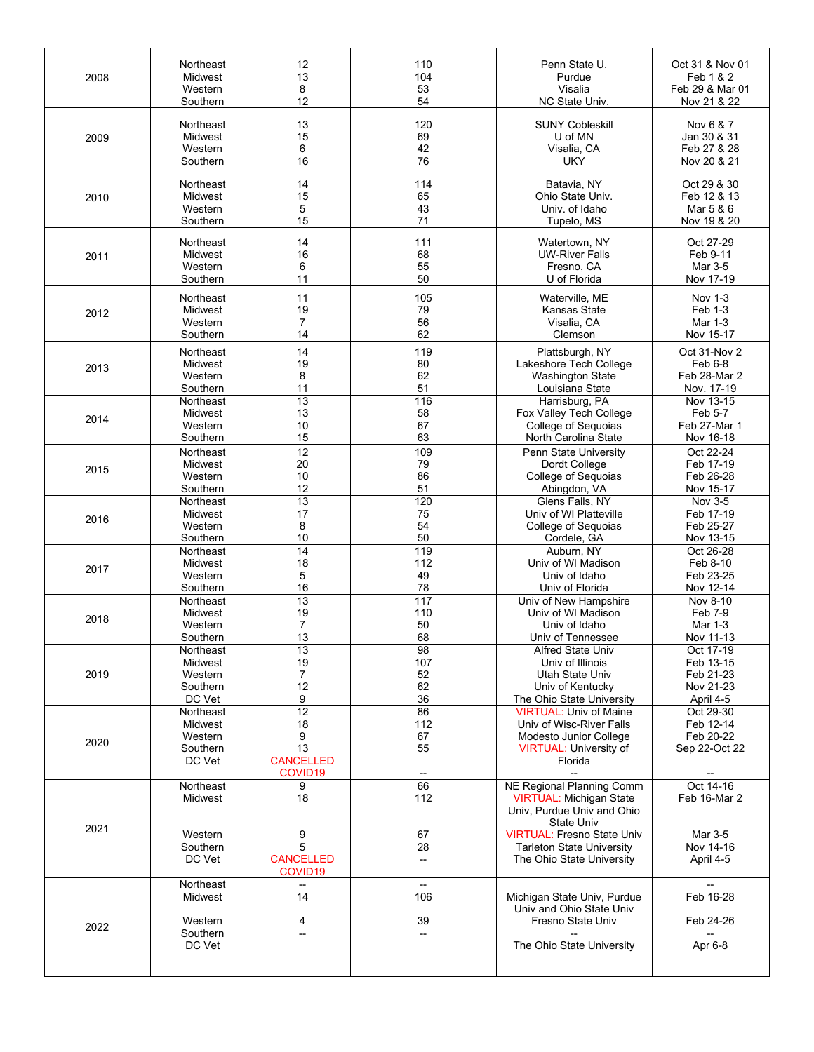| 2008 | Northeast                                             | 12                                                                          | 110                         | Penn State U.                                                                                                                   | Oct 31 & Nov 01                                      |
|------|-------------------------------------------------------|-----------------------------------------------------------------------------|-----------------------------|---------------------------------------------------------------------------------------------------------------------------------|------------------------------------------------------|
|      | Midwest                                               | 13                                                                          | 104                         | Purdue                                                                                                                          | Feb 1 & 2                                            |
|      | Western                                               | 8                                                                           | 53                          | Visalia                                                                                                                         | Feb 29 & Mar 01                                      |
|      | Southern                                              | 12                                                                          | 54                          | NC State Univ.                                                                                                                  | Nov 21 & 22                                          |
| 2009 | Northeast                                             | 13                                                                          | 120                         | <b>SUNY Cobleskill</b>                                                                                                          | Nov 6 & 7                                            |
|      | Midwest                                               | 15                                                                          | 69                          | U of MN                                                                                                                         | Jan 30 & 31                                          |
|      | Western                                               | 6                                                                           | 42                          | Visalia, CA                                                                                                                     | Feb 27 & 28                                          |
|      | Southern                                              | 16                                                                          | 76                          | <b>UKY</b>                                                                                                                      | Nov 20 & 21                                          |
| 2010 | Northeast                                             | 14                                                                          | 114                         | Batavia, NY                                                                                                                     | Oct 29 & 30                                          |
|      | Midwest                                               | 15                                                                          | 65                          | Ohio State Univ.                                                                                                                | Feb 12 & 13                                          |
|      | Western                                               | 5                                                                           | 43                          | Univ. of Idaho                                                                                                                  | Mar 5 & 6                                            |
|      | Southern                                              | 15                                                                          | 71                          | Tupelo, MS                                                                                                                      | Nov 19 & 20                                          |
| 2011 | Northeast                                             | 14                                                                          | 111                         | Watertown, NY                                                                                                                   | Oct 27-29                                            |
|      | Midwest                                               | 16                                                                          | 68                          | <b>UW-River Falls</b>                                                                                                           | Feb 9-11                                             |
|      | Western                                               | 6                                                                           | 55                          | Fresno, CA                                                                                                                      | Mar 3-5                                              |
|      | Southern                                              | 11                                                                          | 50                          | U of Florida                                                                                                                    | Nov 17-19                                            |
| 2012 | Northeast                                             | 11                                                                          | 105                         | Waterville, ME                                                                                                                  | <b>Nov 1-3</b>                                       |
|      | Midwest                                               | 19                                                                          | 79                          | Kansas State                                                                                                                    | Feb 1-3                                              |
|      | Western                                               | $\overline{7}$                                                              | 56                          | Visalia, CA                                                                                                                     | Mar 1-3                                              |
|      | Southern                                              | 14                                                                          | 62                          | Clemson                                                                                                                         | Nov 15-17                                            |
| 2013 | Northeast                                             | 14                                                                          | 119                         | Plattsburgh, NY                                                                                                                 | Oct 31-Nov 2                                         |
|      | Midwest                                               | 19                                                                          | 80                          | Lakeshore Tech College                                                                                                          | Feb 6-8                                              |
|      | Western                                               | 8                                                                           | 62                          | <b>Washington State</b>                                                                                                         | Feb 28-Mar 2                                         |
|      | Southern                                              | 11                                                                          | 51                          | Louisiana State                                                                                                                 | Nov. 17-19                                           |
| 2014 | Northeast                                             | $\overline{13}$                                                             | 116                         | Harrisburg, PA                                                                                                                  | Nov 13-15                                            |
|      | Midwest                                               | 13                                                                          | 58                          | Fox Valley Tech College                                                                                                         | Feb 5-7                                              |
|      | Western                                               | 10                                                                          | 67                          | College of Sequoias                                                                                                             | Feb 27-Mar 1                                         |
|      | Southern                                              | 15                                                                          | 63                          | North Carolina State                                                                                                            | Nov 16-18                                            |
| 2015 | Northeast                                             | 12                                                                          | 109                         | Penn State University                                                                                                           | Oct 22-24                                            |
|      | Midwest                                               | 20                                                                          | 79                          | Dordt College                                                                                                                   | Feb 17-19                                            |
|      | Western                                               | 10                                                                          | 86                          | College of Sequoias                                                                                                             | Feb 26-28                                            |
|      | Southern                                              | 12                                                                          | 51                          | Abingdon, VA                                                                                                                    | Nov 15-17                                            |
| 2016 | Northeast                                             | 13                                                                          | 120                         | Glens Falls, NY                                                                                                                 | Nov 3-5                                              |
|      | Midwest                                               | 17                                                                          | 75                          | Univ of WI Platteville                                                                                                          | Feb 17-19                                            |
|      | Western                                               | 8                                                                           | 54                          | College of Sequoias                                                                                                             | Feb 25-27                                            |
|      | Southern                                              | 10                                                                          | 50                          | Cordele, GA                                                                                                                     | Nov 13-15                                            |
| 2017 | Northeast                                             | 14                                                                          | 119                         | Auburn, NY                                                                                                                      | Oct 26-28                                            |
|      | Midwest                                               | 18                                                                          | 112                         | Univ of WI Madison                                                                                                              | Feb 8-10                                             |
|      | Western                                               | 5                                                                           | 49                          | Univ of Idaho                                                                                                                   | Feb 23-25                                            |
|      | Southern                                              | 16                                                                          | 78                          | Univ of Florida                                                                                                                 | Nov 12-14                                            |
| 2018 | Northeast                                             | 13                                                                          | 117                         | Univ of New Hampshire                                                                                                           | Nov 8-10                                             |
|      | Midwest                                               | 19                                                                          | 110                         | Univ of WI Madison                                                                                                              | Feb 7-9                                              |
|      | Western                                               | $\overline{7}$                                                              | 50                          | Univ of Idaho                                                                                                                   | Mar 1-3                                              |
|      | Southern                                              | 13                                                                          | 68                          | Univ of Tennessee                                                                                                               | Nov 11-13                                            |
| 2019 | Northeast                                             | 13                                                                          | 98                          | Alfred State Univ                                                                                                               | Oct 17-19                                            |
|      | Midwest                                               | 19                                                                          | 107                         | Univ of Illinois                                                                                                                | Feb 13-15                                            |
|      | Western                                               | 7                                                                           | 52                          | Utah State Univ                                                                                                                 | Feb 21-23                                            |
|      | Southern                                              | 12                                                                          | 62                          | Univ of Kentucky                                                                                                                | Nov 21-23                                            |
|      | DC Vet                                                | 9                                                                           | 36                          | The Ohio State University                                                                                                       | April 4-5                                            |
| 2020 | Northeast<br>Midwest<br>Western<br>Southern<br>DC Vet | $\overline{12}$<br>18<br>9<br>13<br><b>CANCELLED</b><br>COVID <sub>19</sub> | 86<br>112<br>67<br>55<br>-- | <b>VIRTUAL: Univ of Maine</b><br>Univ of Wisc-River Falls<br>Modesto Junior College<br><b>VIRTUAL: University of</b><br>Florida | Oct 29-30<br>Feb 12-14<br>Feb 20-22<br>Sep 22-Oct 22 |
| 2021 | Northeast<br>Midwest                                  | 9<br>18                                                                     | 66<br>112                   | NE Regional Planning Comm<br>VIRTUAL: Michigan State<br>Univ, Purdue Univ and Ohio<br>State Univ                                | Oct 14-16<br>Feb 16-Mar 2                            |
|      | Western<br>Southern<br>DC Vet                         | 9<br>5<br><b>CANCELLED</b><br>COVID19                                       | 67<br>28<br>--              | <b>VIRTUAL: Fresno State Univ</b><br><b>Tarleton State University</b><br>The Ohio State University                              | Mar 3-5<br>Nov 14-16<br>April 4-5                    |
| 2022 | Northeast<br>Midwest<br>Western<br>Southern<br>DC Vet | 14<br>4<br>--                                                               | --<br>106<br>39<br>--       | Michigan State Univ, Purdue<br>Univ and Ohio State Univ<br>Fresno State Univ<br>The Ohio State University                       | Feb 16-28<br>Feb 24-26<br>Apr 6-8                    |